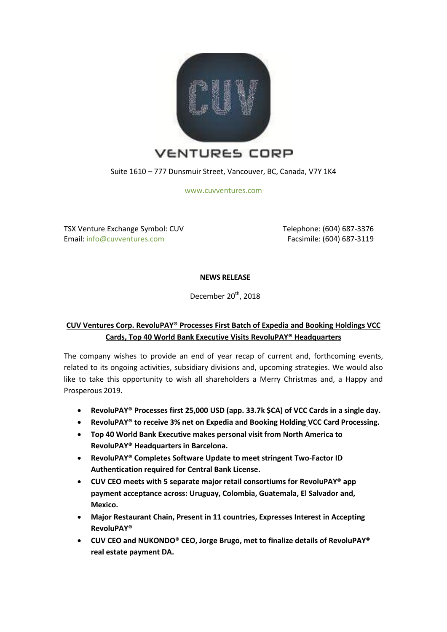

Suite 1610 – 777 Dunsmuir Street, Vancouver, BC, Canada, V7Y 1K4

[www.cuvventures.com](http://www.cuvventures.com/)

TSX Venture Exchange Symbol: CUV Email: [info@cuvventures.com](mailto:info@cuvventures.com)

 Telephone: (604) 687-3376 Facsimile: (604) 687-3119

**NEWS RELEASE**

December 20<sup>th</sup>, 2018

# **CUV Ventures Corp. RevoluPAY® Processes First Batch of Expedia and Booking Holdings VCC Cards, Top 40 World Bank Executive Visits RevoluPAY® Headquarters**

The company wishes to provide an end of year recap of current and, forthcoming events, related to its ongoing activities, subsidiary divisions and, upcoming strategies. We would also like to take this opportunity to wish all shareholders a Merry Christmas and, a Happy and Prosperous 2019.

- **RevoluPAY® Processes first 25,000 USD (app. 33.7k \$CA) of VCC Cards in a single day.**
- **RevoluPAY® to receive 3% net on Expedia and Booking Holding VCC Card Processing.**
- **Top 40 World Bank Executive makes personal visit from North America to RevoluPAY® Headquarters in Barcelona.**
- **RevoluPAY® Completes Software Update to meet stringent Two**-**Factor ID Authentication required for Central Bank License.**
- **CUV CEO meets with 5 separate major retail consortiums for RevoluPAY® app payment acceptance across: Uruguay, Colombia, Guatemala, El Salvador and, Mexico.**
- **Major Restaurant Chain, Present in 11 countries, Expresses Interest in Accepting RevoluPAY®**
- **CUV CEO and NUKONDO® CEO, Jorge Brugo, met to finalize details of RevoluPAY® real estate payment DA.**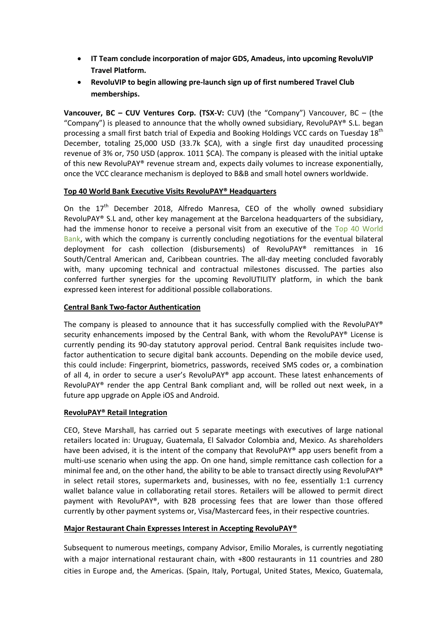- **IT Team conclude incorporation of major GDS, Amadeus, into upcoming RevoluVIP Travel Platform.**
- **RevoluVIP to begin allowing pre-launch sign up of first numbered Travel Club memberships.**

**Vancouver, BC – CUV Ventures Corp. (TSX-V:** [CUV](http://web.tmxmoney.com/quote.php?qm_symbol=CUV)**)** (the "Company") Vancouver, BC – (the "Company") is pleased to announce that the wholly owned subsidiary, RevoluPAY® S.L. began processing a small first batch trial of Expedia and Booking Holdings VCC cards on Tuesday  $18<sup>th</sup>$ December, totaling 25,000 USD (33.7k \$CA), with a single first day unaudited processing revenue of 3% or, 750 USD (approx. 1011 \$CA). The company is pleased with the initial uptake of this new RevoluPAY® revenue stream and, expects daily volumes to increase exponentially, once the VCC clearance mechanism is deployed to B&B and small hotel owners worldwide.

## **Top 40 World Bank Executive Visits RevoluPAY® Headquarters**

On the  $17<sup>th</sup>$  December 2018, Alfredo Manresa, CEO of the wholly owned subsidiary RevoluPAY® S.L and, other key management at the Barcelona headquarters of the subsidiary, had the immense honor to receive a personal visit from an executive of the Top 40 World [Bank,](https://www.cuvventures.com/assets/docs/2018-06-29-nr-cuv-97c743.pdf) with which the company is currently concluding negotiations for the eventual bilateral deployment for cash collection (disbursements) of RevoluPAY® remittances in 16 South/Central American and, Caribbean countries. The all-day meeting concluded favorably with, many upcoming technical and contractual milestones discussed. The parties also conferred further synergies for the upcoming RevolUTILITY platform, in which the bank expressed keen interest for additional possible collaborations.

## **Central Bank Two-factor Authentication**

The company is pleased to announce that it has successfully complied with the RevoluPAY® security enhancements imposed by the Central Bank, with whom the RevoluPAY® License is currently pending its 90-day statutory approval period. Central Bank requisites include twofactor authentication to secure digital bank accounts. Depending on the mobile device used, this could include: Fingerprint, biometrics, passwords, received SMS codes or, a combination of all 4, in order to secure a user's RevoluPAY® app account. These latest enhancements of RevoluPAY® render the app Central Bank compliant and, will be rolled out next week, in a future app upgrade on Apple iOS and Android.

### **RevoluPAY® Retail Integration**

CEO, Steve Marshall, has carried out 5 separate meetings with executives of large national retailers located in: Uruguay, Guatemala, El Salvador Colombia and, Mexico. As shareholders have been advised, it is the intent of the company that RevoluPAY® app users benefit from a multi-use scenario when using the app. On one hand, simple remittance cash collection for a minimal fee and, on the other hand, the ability to be able to transact directly using RevoluPAY® in select retail stores, supermarkets and, businesses, with no fee, essentially 1:1 currency wallet balance value in collaborating retail stores. Retailers will be allowed to permit direct payment with RevoluPAY®, with B2B processing fees that are lower than those offered currently by other payment systems or, Visa/Mastercard fees, in their respective countries.

### **Major Restaurant Chain Expresses Interest in Accepting RevoluPAY®**

Subsequent to numerous meetings, company Advisor, Emilio Morales, is currently negotiating with a major international restaurant chain, with +800 restaurants in 11 countries and 280 cities in Europe and, the Americas. (Spain, Italy, Portugal, United States, Mexico, Guatemala,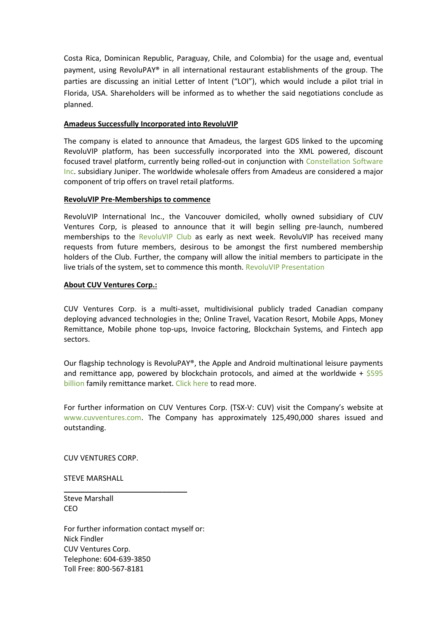Costa Rica, Dominican Republic, Paraguay, Chile, and Colombia) for the usage and, eventual payment, using RevoluPAY® in all international restaurant establishments of the group. The parties are discussing an initial Letter of Intent ("LOI"), which would include a pilot trial in Florida, USA. Shareholders will be informed as to whether the said negotiations conclude as planned.

## **Amadeus Successfully Incorporated into RevoluVIP**

The company is elated to announce that Amadeus, the largest GDS linked to the upcoming RevoluVIP platform, has been successfully incorporated into the XML powered, discount focused travel platform, currently being rolled-out in conjunction with [Constellation Software](https://web.tmxmoney.com/quote.php?qm_symbol=csu) [Inc.](https://web.tmxmoney.com/quote.php?qm_symbol=csu) subsidiary Juniper. The worldwide wholesale offers from Amadeus are considered a major component of trip offers on travel retail platforms.

### **RevoluVIP Pre-Memberships to commence**

RevoluVIP International Inc., the Vancouver domiciled, wholly owned subsidiary of CUV Ventures Corp, is pleased to announce that it will begin selling pre-launch, numbered memberships to the [RevoluVIP Club](https://revoluvip.club/) as early as next week. RevoluVIP has received many requests from future members, desirous to be amongst the first numbered membership holders of the Club. Further, the company will allow the initial members to participate in the live trials of the system, set to commence this month. [RevoluVIP Presentation](https://www.cuvventures.com/assets/docs/presentations/Presentation_RevoluVIP_2018.pdf)

### **About CUV Ventures Corp.:**

CUV Ventures Corp. is a multi-asset, multidivisional publicly traded Canadian company deploying advanced technologies in the; Online Travel, Vacation Resort, Mobile Apps, Money Remittance, Mobile phone top-ups, Invoice factoring, Blockchain Systems, and Fintech app sectors.

Our flagship technology is RevoluPAY®, the Apple and Android multinational leisure payments and remittance app, powered by blockchain protocols, and aimed at the worldwide +  $$595$ [billion](http://www.worldbank.org/en/topic/migrationremittancesdiasporaissues/brief/migration-remittances-data) family remittance market. [Click here](https://cuvventures.com/about/about-cuv-ventures) to read more.

For further information on CUV Ventures Corp. (TSX-V: CUV) visit the Company's website at [www.cuvventures.com.](http://www.cuvventures.com/) The Company has approximately 125,490,000 shares issued and outstanding.

CUV VENTURES CORP.

### STEVE MARSHALL

\_\_\_\_\_\_\_\_\_\_\_\_\_\_\_\_\_\_\_\_\_\_\_\_\_\_\_\_\_\_ Steve Marshall **CEO** 

For further information contact myself or: Nick Findler CUV Ventures Corp. Telephone: 604-639-3850 Toll Free: 800-567-8181